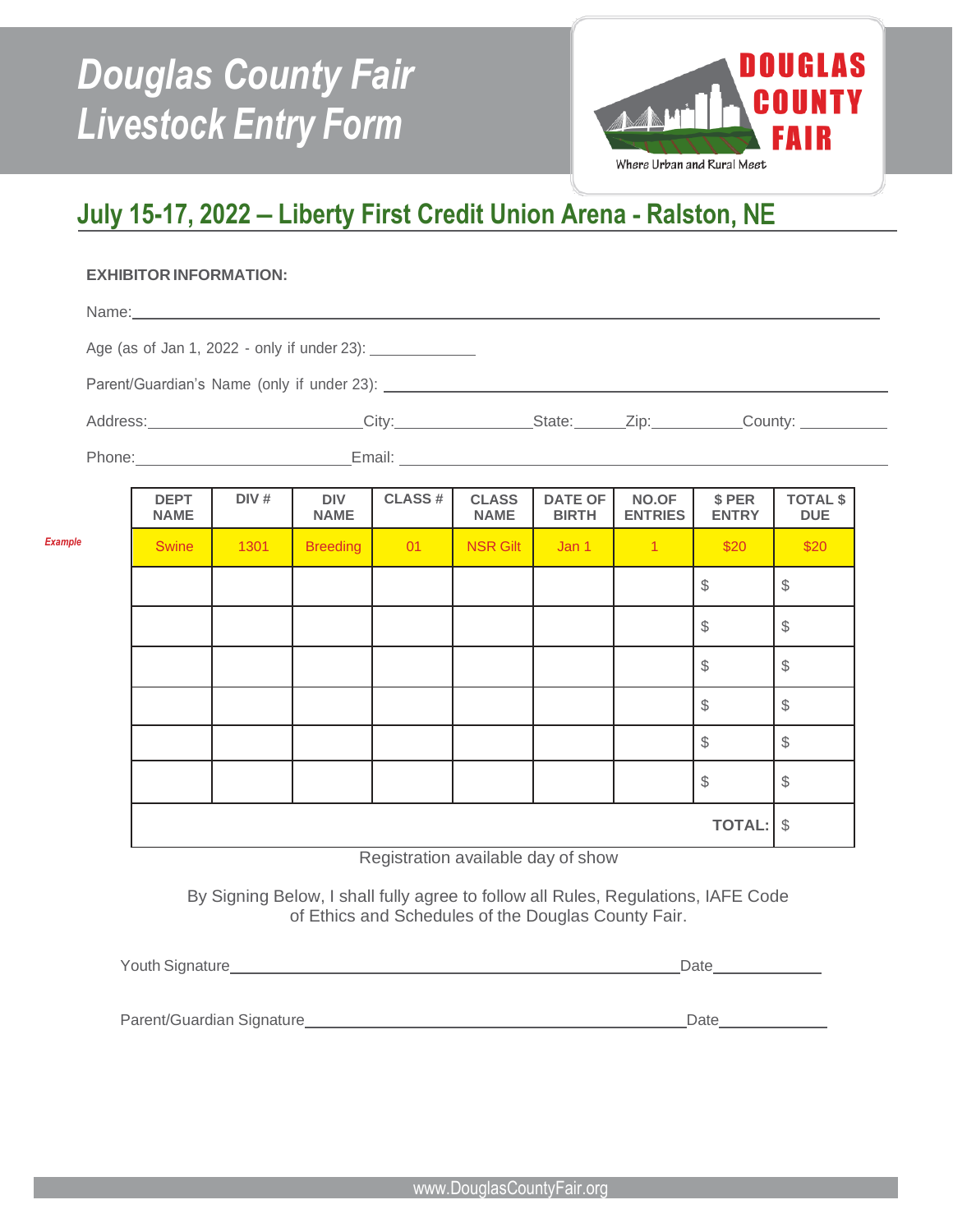# DOUGLAS COUNTY FAIR | **LIVESTOCK** *Douglas County Fair Livestock Entry Form*



# **July 15-17, 2022 – Liberty First Credit Union Arena** - **Ralston**, NE

## **EXHIBITOR INFORMATION:**

*Exampl* 

| Age (as of Jan 1, 2022 - only if under 23): ________________ |                            |      |                           |               |                             |                                |                         |                        |                               |  |  |
|--------------------------------------------------------------|----------------------------|------|---------------------------|---------------|-----------------------------|--------------------------------|-------------------------|------------------------|-------------------------------|--|--|
|                                                              |                            |      |                           |               |                             |                                |                         |                        |                               |  |  |
| Address: City: City: State: Zip: County: County:             |                            |      |                           |               |                             |                                |                         |                        |                               |  |  |
|                                                              |                            |      |                           |               |                             |                                |                         |                        |                               |  |  |
|                                                              | <b>DEPT</b><br><b>NAME</b> | DIV# | <b>DIV</b><br><b>NAME</b> | <b>CLASS#</b> | <b>CLASS</b><br><b>NAME</b> | <b>DATE OF</b><br><b>BIRTH</b> | NO.OF<br><b>ENTRIES</b> | \$ PER<br><b>ENTRY</b> | <b>TOTAL \$</b><br><b>DUE</b> |  |  |
|                                                              | <b>Swine</b>               | 1301 | <b>Breeding</b>           | 01            | <b>NSR Gilt</b>             | Jan <sub>1</sub>               | $-1$                    | \$20                   | \$20                          |  |  |
|                                                              |                            |      |                           |               |                             |                                |                         | $\mathbb{S}$           | $\mathbb{S}$                  |  |  |
|                                                              |                            |      |                           |               |                             |                                |                         | \$                     | \$                            |  |  |
|                                                              |                            |      |                           |               |                             |                                |                         | $\mathbb S$            | $\mathcal{L}$                 |  |  |
|                                                              |                            |      |                           |               |                             |                                |                         | \$                     | \$                            |  |  |
|                                                              |                            |      |                           |               |                             |                                |                         | $\mathbb S$            | \$                            |  |  |
|                                                              |                            |      |                           |               |                             |                                |                         | $\mathbb S$            | \$                            |  |  |
|                                                              |                            |      |                           |               |                             |                                |                         | <b>TOTAL:</b>          | $\mathcal{S}$                 |  |  |

Registration available day of show

By Signing Below, I shall fully agree to follow all Rules, Regulations, IAFE Code of Ethics and Schedules of the Douglas County Fair.

| Youth Signature           | Date |  |  |
|---------------------------|------|--|--|
|                           |      |  |  |
| Parent/Guardian Signature | Date |  |  |